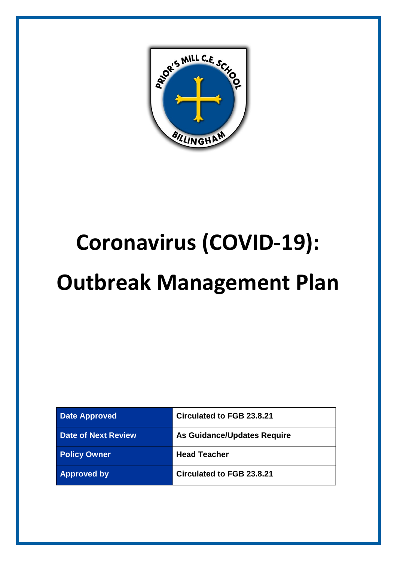

# **Coronavirus (COVID-19):**

## **Outbreak Management Plan**

| <b>Date Approved</b>       | <b>Circulated to FGB 23.8.21</b> |
|----------------------------|----------------------------------|
| <b>Date of Next Review</b> | As Guidance/Updates Require      |
| <b>Policy Owner</b>        | <b>Head Teacher</b>              |
| <b>Approved by</b>         | Circulated to FGB 23.8.21        |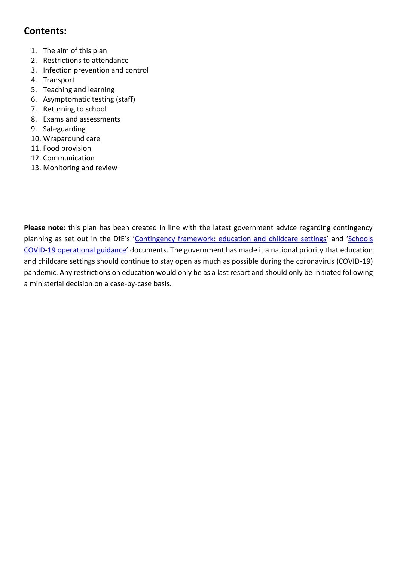## **Contents:**

- 1. [The aim of this plan](#page-2-0)
- 2. [Restrictions to attendance](#page-3-0)
- 3. [Infection prevention and control](#page-3-1)
- 4. [Transport](#page-6-0)
- 5. [Teaching and learning](#page-6-1)
- 6. Asymptomatic testing (staff)
- 7. [Returning to school](#page-8-0)
- 8. [Exams and assessments](#page-8-1)
- 9. [Safeguarding](#page-8-2)
- 10. [Wraparound care](#page-9-0)
- 11. [Food provision](#page-9-1)
- 12. [Communication](#page-9-2)
- 13. [Monitoring and review](#page-9-3)

**Please note:** this plan has been created in line with the latest government advice regarding contingency planning as set out in the DfE's '[Contingency framework: education and childcare settings](https://www.gov.uk/government/publications/coronavirus-covid-19-local-restrictions-in-education-and-childcare-settings?utm_source=14%20May%202021%20C19&utm_medium=Daily%20Email%20C19&utm_campaign=DfE%20C19)' and '[Schools](https://www.gov.uk/government/publications/actions-for-schools-during-the-coronavirus-outbreak/guidance-for-full-opening-schools)  [COVID-19 operational guidance](https://www.gov.uk/government/publications/actions-for-schools-during-the-coronavirus-outbreak/guidance-for-full-opening-schools)' documents. The government has made it a national priority that education and childcare settings should continue to stay open as much as possible during the coronavirus (COVID-19) pandemic. Any restrictions on education would only be as a last resort and should only be initiated following a ministerial decision on a case-by-case basis.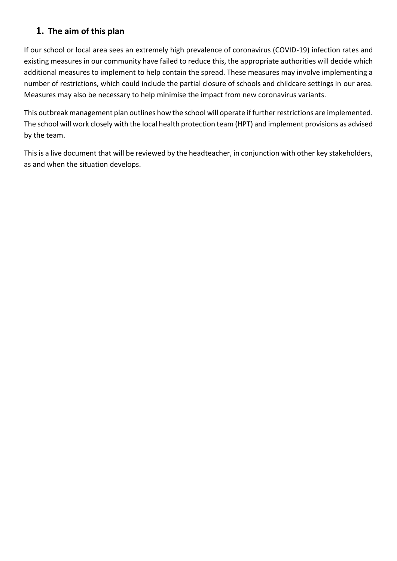## <span id="page-2-0"></span>**1. The aim of this plan**

If our school or local area sees an extremely high prevalence of coronavirus (COVID-19) infection rates and existing measures in our community have failed to reduce this, the appropriate authorities will decide which additional measures to implement to help contain the spread. These measures may involve implementing a number of restrictions, which could include the partial closure of schools and childcare settings in our area. Measures may also be necessary to help minimise the impact from new coronavirus variants.

This outbreak management plan outlines how the school will operate if further restrictions are implemented. The school will work closely with the local health protection team (HPT) and implement provisions as advised by the team.

This is a live document that will be reviewed by the headteacher, in conjunction with other key stakeholders, as and when the situation develops.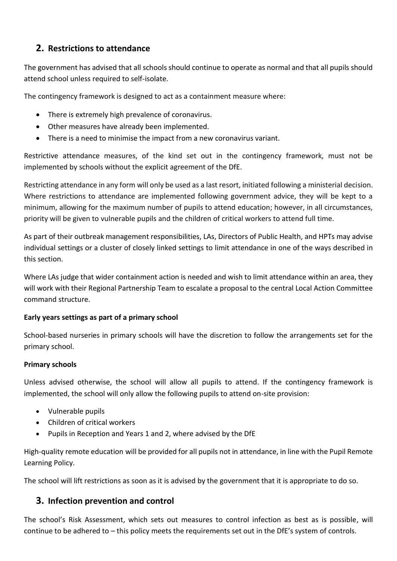## <span id="page-3-0"></span>**2. Restrictions to attendance**

The government has advised that all schools should continue to operate as normal and that all pupils should attend school unless required to self-isolate.

The contingency framework is designed to act as a containment measure where:

- There is extremely high prevalence of coronavirus.
- Other measures have already been implemented.
- There is a need to minimise the impact from a new coronavirus variant.

Restrictive attendance measures, of the kind set out in the contingency framework, must not be implemented by schools without the explicit agreement of the DfE.

Restricting attendance in any form will only be used as a last resort, initiated following a ministerial decision. Where restrictions to attendance are implemented following government advice, they will be kept to a minimum, allowing for the maximum number of pupils to attend education; however, in all circumstances, priority will be given to vulnerable pupils and the children of critical workers to attend full time.

As part of their outbreak management responsibilities, LAs, Directors of Public Health, and HPTs may advise individual settings or a cluster of closely linked settings to limit attendance in one of the ways described in this section.

Where LAs judge that wider containment action is needed and wish to limit attendance within an area, they will work with their Regional Partnership Team to escalate a proposal to the central Local Action Committee command structure.

#### **Early years settings as part of a primary school**

School-based nurseries in primary schools will have the discretion to follow the arrangements set for the primary school.

#### **Primary schools**

Unless advised otherwise, the school will allow all pupils to attend. If the contingency framework is implemented, the school will only allow the following pupils to attend on-site provision:

- Vulnerable pupils
- Children of critical workers
- Pupils in Reception and Years 1 and 2, where advised by the DfE

High-quality remote education will be provided for all pupils not in attendance, in line with the Pupil Remote Learning Policy.

The school will lift restrictions as soon as it is advised by the government that it is appropriate to do so.

### <span id="page-3-1"></span>**3. Infection prevention and control**

The school's Risk Assessment, which sets out measures to control infection as best as is possible, will continue to be adhered to – this policy meets the requirements set out in the DfE's system of controls.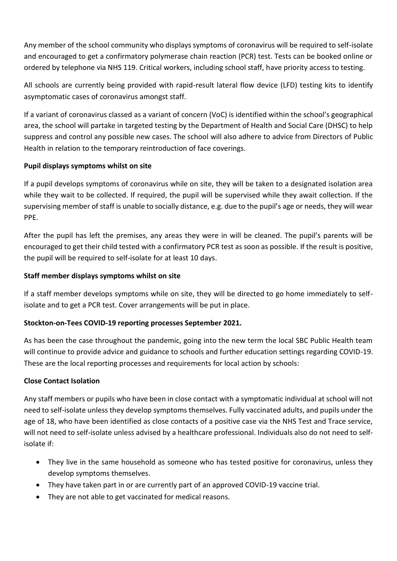Any member of the school community who displays symptoms of coronavirus will be required to self-isolate and encouraged to get a confirmatory polymerase chain reaction (PCR) test. Tests can be booked online or ordered by telephone via NHS 119. Critical workers, including school staff, have priority access to testing.

All schools are currently being provided with rapid-result lateral flow device (LFD) testing kits to identify asymptomatic cases of coronavirus amongst staff.

If a variant of coronavirus classed as a variant of concern (VoC) is identified within the school's geographical area, the school will partake in targeted testing by the Department of Health and Social Care (DHSC) to help suppress and control any possible new cases. The school will also adhere to advice from Directors of Public Health in relation to the temporary reintroduction of face coverings.

#### **Pupil displays symptoms whilst on site**

If a pupil develops symptoms of coronavirus while on site, they will be taken to a designated isolation area while they wait to be collected. If required, the pupil will be supervised while they await collection. If the supervising member of staff is unable to socially distance, e.g. due to the pupil's age or needs, they will wear PPE.

After the pupil has left the premises, any areas they were in will be cleaned. The pupil's parents will be encouraged to get their child tested with a confirmatory PCR test as soon as possible. If the result is positive, the pupil will be required to self-isolate for at least 10 days.

#### **Staff member displays symptoms whilst on site**

If a staff member develops symptoms while on site, they will be directed to go home immediately to selfisolate and to get a PCR test. Cover arrangements will be put in place.

#### **Stockton-on-Tees COVID-19 reporting processes September 2021.**

As has been the case throughout the pandemic, going into the new term the local SBC Public Health team will continue to provide advice and guidance to schools and further education settings regarding COVID-19. These are the local reporting processes and requirements for local action by schools:

#### **Close Contact Isolation**

Any staff members or pupils who have been in close contact with a symptomatic individual at school will not need to self-isolate unless they develop symptoms themselves. Fully vaccinated adults, and pupils under the age of 18, who have been identified as close contacts of a positive case via the NHS Test and Trace service, will not need to self-isolate unless advised by a healthcare professional. Individuals also do not need to selfisolate if:

- They live in the same household as someone who has tested positive for coronavirus, unless they develop symptoms themselves.
- They have taken part in or are currently part of an approved COVID-19 vaccine trial.
- They are not able to get vaccinated for medical reasons.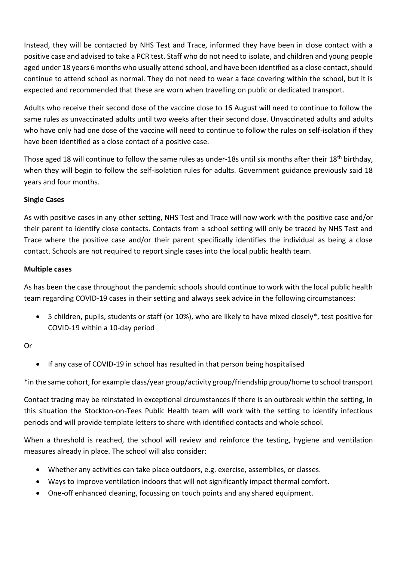Instead, they will be contacted by NHS Test and Trace, informed they have been in close contact with a positive case and advised to take a PCR test. Staff who do not need to isolate, and children and young people aged under 18 years 6 months who usually attend school, and have been identified as a close contact, should continue to attend school as normal. They do not need to wear a face covering within the school, but it is expected and recommended that these are worn when travelling on public or dedicated transport.

Adults who receive their second dose of the vaccine close to 16 August will need to continue to follow the same rules as unvaccinated adults until two weeks after their second dose. Unvaccinated adults and adults who have only had one dose of the vaccine will need to continue to follow the rules on self-isolation if they have been identified as a close contact of a positive case.

Those aged 18 will continue to follow the same rules as under-18s until six months after their 18th birthday, when they will begin to follow the self-isolation rules for adults. Government guidance previously said 18 years and four months.

#### **Single Cases**

As with positive cases in any other setting, NHS Test and Trace will now work with the positive case and/or their parent to identify close contacts. Contacts from a school setting will only be traced by NHS Test and Trace where the positive case and/or their parent specifically identifies the individual as being a close contact. Schools are not required to report single cases into the local public health team.

#### **Multiple cases**

As has been the case throughout the pandemic schools should continue to work with the local public health team regarding COVID-19 cases in their setting and always seek advice in the following circumstances:

• 5 children, pupils, students or staff (or 10%), who are likely to have mixed closely\*, test positive for COVID-19 within a 10-day period

#### Or

• If any case of COVID-19 in school has resulted in that person being hospitalised

\*in the same cohort, for example class/year group/activity group/friendship group/home to school transport

Contact tracing may be reinstated in exceptional circumstances if there is an outbreak within the setting, in this situation the Stockton-on-Tees Public Health team will work with the setting to identify infectious periods and will provide template letters to share with identified contacts and whole school.

When a threshold is reached, the school will review and reinforce the testing, hygiene and ventilation measures already in place. The school will also consider:

- Whether any activities can take place outdoors, e.g. exercise, assemblies, or classes.
- Ways to improve ventilation indoors that will not significantly impact thermal comfort.
- One-off enhanced cleaning, focussing on touch points and any shared equipment.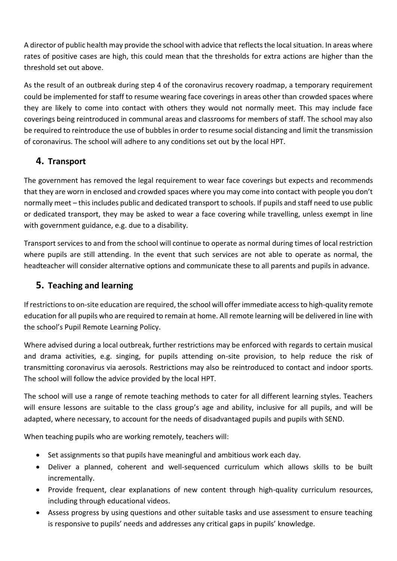A director of public health may provide the school with advice that reflects the local situation. In areas where rates of positive cases are high, this could mean that the thresholds for extra actions are higher than the threshold set out above.

As the result of an outbreak during step 4 of the coronavirus recovery roadmap, a temporary requirement could be implemented for staff to resume wearing face coverings in areas other than crowded spaces where they are likely to come into contact with others they would not normally meet. This may include face coverings being reintroduced in communal areas and classrooms for members of staff. The school may also be required to reintroduce the use of bubbles in order to resume social distancing and limit the transmission of coronavirus. The school will adhere to any conditions set out by the local HPT.

## <span id="page-6-0"></span>**4. Transport**

The government has removed the legal requirement to wear face coverings but expects and recommends that they are worn in enclosed and crowded spaces where you may come into contact with people you don't normally meet – this includes public and dedicated transport to schools. If pupils and staff need to use public or dedicated transport, they may be asked to wear a face covering while travelling, unless exempt in line with government guidance, e.g. due to a disability.

Transport services to and from the school will continue to operate as normal during times of local restriction where pupils are still attending. In the event that such services are not able to operate as normal, the headteacher will consider alternative options and communicate these to all parents and pupils in advance.

## <span id="page-6-1"></span>**5. Teaching and learning**

If restrictions to on-site education are required, the school will offer immediate access to high-quality remote education for all pupils who are required to remain at home. All remote learning will be delivered in line with the school's Pupil Remote Learning Policy.

Where advised during a local outbreak, further restrictions may be enforced with regards to certain musical and drama activities, e.g. singing, for pupils attending on-site provision, to help reduce the risk of transmitting coronavirus via aerosols. Restrictions may also be reintroduced to contact and indoor sports. The school will follow the advice provided by the local HPT.

The school will use a range of remote teaching methods to cater for all different learning styles. Teachers will ensure lessons are suitable to the class group's age and ability, inclusive for all pupils, and will be adapted, where necessary, to account for the needs of disadvantaged pupils and pupils with SEND.

When teaching pupils who are working remotely, teachers will:

- Set assignments so that pupils have meaningful and ambitious work each day.
- Deliver a planned, coherent and well-sequenced curriculum which allows skills to be built incrementally.
- Provide frequent, clear explanations of new content through high-quality curriculum resources, including through educational videos.
- Assess progress by using questions and other suitable tasks and use assessment to ensure teaching is responsive to pupils' needs and addresses any critical gaps in pupils' knowledge.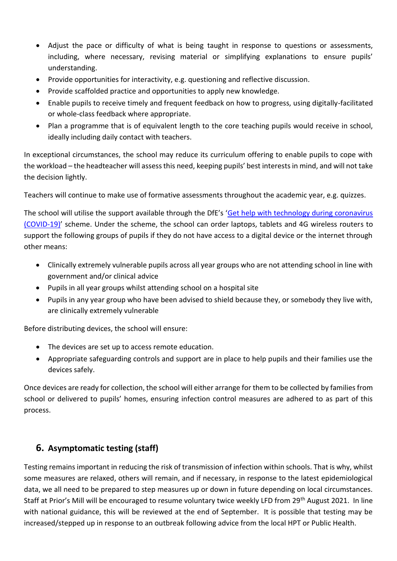- Adjust the pace or difficulty of what is being taught in response to questions or assessments, including, where necessary, revising material or simplifying explanations to ensure pupils' understanding.
- Provide opportunities for interactivity, e.g. questioning and reflective discussion.
- Provide scaffolded practice and opportunities to apply new knowledge.
- Enable pupils to receive timely and frequent feedback on how to progress, using digitally-facilitated or whole-class feedback where appropriate.
- Plan a programme that is of equivalent length to the core teaching pupils would receive in school, ideally including daily contact with teachers.

In exceptional circumstances, the school may reduce its curriculum offering to enable pupils to cope with the workload – the headteacher will assess this need, keeping pupils' best interests in mind, and will not take the decision lightly.

Teachers will continue to make use of formative assessments throughout the academic year, e.g. quizzes.

The school will utilise the support available through the DfE's '[Get help with technology during coronavirus](https://www.gov.uk/guidance/get-help-with-technology-for-remote-education-during-coronavirus-covid-19)  [\(COVID-19\)](https://www.gov.uk/guidance/get-help-with-technology-for-remote-education-during-coronavirus-covid-19)' scheme. Under the scheme, the school can order laptops, tablets and 4G wireless routers to support the following groups of pupils if they do not have access to a digital device or the internet through other means:

- Clinically extremely vulnerable pupils across all year groups who are not attending school in line with government and/or clinical advice
- Pupils in all year groups whilst attending school on a hospital site
- Pupils in any year group who have been advised to shield because they, or somebody they live with, are clinically extremely vulnerable

Before distributing devices, the school will ensure:

- The devices are set up to access remote education.
- Appropriate safeguarding controls and support are in place to help pupils and their families use the devices safely.

Once devices are ready for collection, the school will either arrange for them to be collected by families from school or delivered to pupils' homes, ensuring infection control measures are adhered to as part of this process.

## **6. Asymptomatic testing (staff)**

Testing remains important in reducing the risk of transmission of infection within schools. That is why, whilst some measures are relaxed, others will remain, and if necessary, in response to the latest epidemiological data, we all need to be prepared to step measures up or down in future depending on local circumstances. Staff at Prior's Mill will be encouraged to resume voluntary twice weekly LFD from 29<sup>th</sup> August 2021. In line with national guidance, this will be reviewed at the end of September. It is possible that testing may be increased/stepped up in response to an outbreak following advice from the local HPT or Public Health.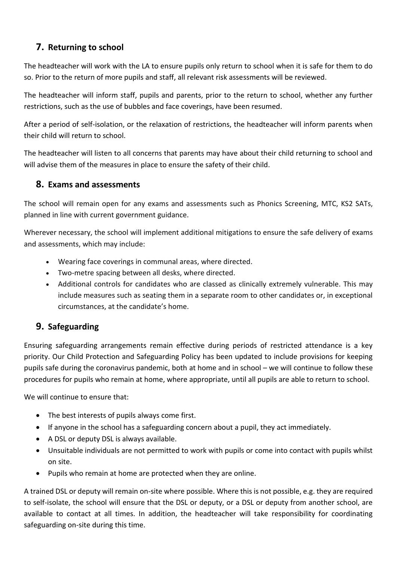## <span id="page-8-0"></span>**7. Returning to school**

The headteacher will work with the LA to ensure pupils only return to school when it is safe for them to do so. Prior to the return of more pupils and staff, all relevant risk assessments will be reviewed.

The headteacher will inform staff, pupils and parents, prior to the return to school, whether any further restrictions, such as the use of bubbles and face coverings, have been resumed.

After a period of self-isolation, or the relaxation of restrictions, the headteacher will inform parents when their child will return to school.

The headteacher will listen to all concerns that parents may have about their child returning to school and will advise them of the measures in place to ensure the safety of their child.

## <span id="page-8-1"></span>**8. Exams and assessments**

The school will remain open for any exams and assessments such as Phonics Screening, MTC, KS2 SATs, planned in line with current government guidance.

Wherever necessary, the school will implement additional mitigations to ensure the safe delivery of exams and assessments, which may include:

- Wearing face coverings in communal areas, where directed.
- Two-metre spacing between all desks, where directed.
- Additional controls for candidates who are classed as clinically extremely vulnerable. This may include measures such as seating them in a separate room to other candidates or, in exceptional circumstances, at the candidate's home.

## <span id="page-8-2"></span>**9. Safeguarding**

Ensuring safeguarding arrangements remain effective during periods of restricted attendance is a key priority. Our Child Protection and Safeguarding Policy has been updated to include provisions for keeping pupils safe during the coronavirus pandemic, both at home and in school – we will continue to follow these procedures for pupils who remain at home, where appropriate, until all pupils are able to return to school.

We will continue to ensure that:

- The best interests of pupils always come first.
- If anyone in the school has a safeguarding concern about a pupil, they act immediately.
- A DSL or deputy DSL is always available.
- Unsuitable individuals are not permitted to work with pupils or come into contact with pupils whilst on site.
- Pupils who remain at home are protected when they are online.

A trained DSL or deputy will remain on-site where possible. Where this is not possible, e.g. they are required to self-isolate, the school will ensure that the DSL or deputy, or a DSL or deputy from another school, are available to contact at all times. In addition, the headteacher will take responsibility for coordinating safeguarding on-site during this time.